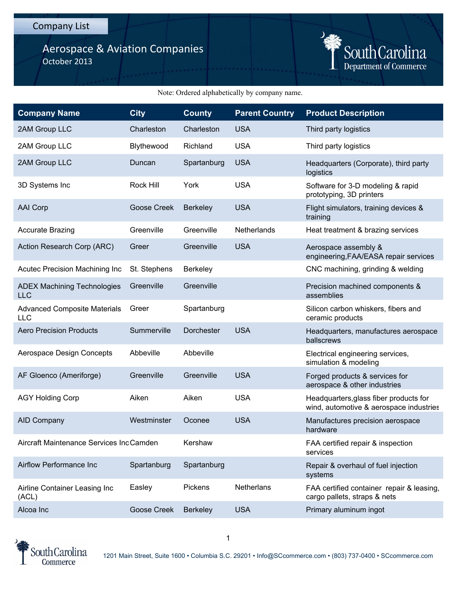## Aerospace & Aviation Companies October 2013



## Note: Ordered alphabetically by company name.

| <b>Company Name</b>                              | <b>City</b>        | <b>County</b>   | <b>Parent Country</b> | <b>Product Description</b>                                                        |
|--------------------------------------------------|--------------------|-----------------|-----------------------|-----------------------------------------------------------------------------------|
| 2AM Group LLC                                    | Charleston         | Charleston      | <b>USA</b>            | Third party logistics                                                             |
| 2AM Group LLC                                    | Blythewood         | Richland        | <b>USA</b>            | Third party logistics                                                             |
| 2AM Group LLC                                    | Duncan             | Spartanburg     | <b>USA</b>            | Headquarters (Corporate), third party<br>logistics                                |
| 3D Systems Inc                                   | Rock Hill          | York            | <b>USA</b>            | Software for 3-D modeling & rapid<br>prototyping, 3D printers                     |
| <b>AAI Corp</b>                                  | <b>Goose Creek</b> | Berkeley        | <b>USA</b>            | Flight simulators, training devices &<br>training                                 |
| <b>Accurate Brazing</b>                          | Greenville         | Greenville      | Netherlands           | Heat treatment & brazing services                                                 |
| Action Research Corp (ARC)                       | Greer              | Greenville      | <b>USA</b>            | Aerospace assembly &<br>engineering, FAA/EASA repair services                     |
| Acutec Precision Machining Inc                   | St. Stephens       | <b>Berkeley</b> |                       | CNC machining, grinding & welding                                                 |
| <b>ADEX Machining Technologies</b><br><b>LLC</b> | Greenville         | Greenville      |                       | Precision machined components &<br>assemblies                                     |
| <b>Advanced Composite Materials</b><br>LLC       | Greer              | Spartanburg     |                       | Silicon carbon whiskers, fibers and<br>ceramic products                           |
| <b>Aero Precision Products</b>                   | Summerville        | Dorchester      | <b>USA</b>            | Headquarters, manufactures aerospace<br>ballscrews                                |
| Aerospace Design Concepts                        | Abbeville          | Abbeville       |                       | Electrical engineering services,<br>simulation & modeling                         |
| AF Gloenco (Ameriforge)                          | Greenville         | Greenville      | <b>USA</b>            | Forged products & services for<br>aerospace & other industries                    |
| <b>AGY Holding Corp</b>                          | Aiken              | Aiken           | <b>USA</b>            | Headquarters, glass fiber products for<br>wind, automotive & aerospace industries |
| <b>AID Company</b>                               | Westminster        | Oconee          | <b>USA</b>            | Manufactures precision aerospace<br>hardware                                      |
| Aircraft Maintenance Services IncCamden          |                    | Kershaw         |                       | FAA certified repair & inspection<br>services                                     |
| Airflow Performance Inc                          | Spartanburg        | Spartanburg     |                       | Repair & overhaul of fuel injection<br>systems                                    |
| Airline Container Leasing Inc<br>(ACL)           | Easley             | Pickens         | <b>Netherlans</b>     | FAA certified container repair & leasing,<br>cargo pallets, straps & nets         |
| Alcoa Inc                                        | <b>Goose Creek</b> | <b>Berkeley</b> | <b>USA</b>            | Primary aluminum ingot                                                            |

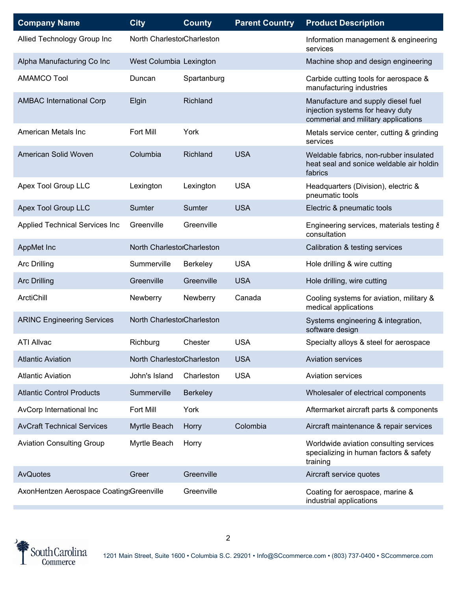| <b>Company Name</b>                      | <b>City</b>                | <b>County</b>   | <b>Parent Country</b> | <b>Product Description</b>                                                                                    |
|------------------------------------------|----------------------------|-----------------|-----------------------|---------------------------------------------------------------------------------------------------------------|
| Allied Technology Group Inc              | North CharlestorCharleston |                 |                       | Information management & engineering<br>services                                                              |
| Alpha Manufacturing Co Inc               | West Columbia Lexington    |                 |                       | Machine shop and design engineering                                                                           |
| <b>AMAMCO Tool</b>                       | Duncan                     | Spartanburg     |                       | Carbide cutting tools for aerospace &<br>manufacturing industries                                             |
| <b>AMBAC International Corp</b>          | Elgin                      | Richland        |                       | Manufacture and supply diesel fuel<br>injection systems for heavy duty<br>commerial and military applications |
| American Metals Inc                      | Fort Mill                  | York            |                       | Metals service center, cutting & grinding<br>services                                                         |
| American Solid Woven                     | Columbia                   | Richland        | <b>USA</b>            | Weldable fabrics, non-rubber insulated<br>heat seal and sonice weldable air holdin<br>fabrics                 |
| Apex Tool Group LLC                      | Lexington                  | Lexington       | <b>USA</b>            | Headquarters (Division), electric &<br>pneumatic tools                                                        |
| Apex Tool Group LLC                      | Sumter                     | Sumter          | <b>USA</b>            | Electric & pneumatic tools                                                                                    |
| <b>Applied Technical Services Inc</b>    | Greenville                 | Greenville      |                       | Engineering services, materials testing &<br>consultation                                                     |
| AppMet Inc                               | North CharlestorCharleston |                 |                       | Calibration & testing services                                                                                |
| <b>Arc Drilling</b>                      | Summerville                | Berkeley        | <b>USA</b>            | Hole drilling & wire cutting                                                                                  |
| <b>Arc Drilling</b>                      | Greenville                 | Greenville      | <b>USA</b>            | Hole drilling, wire cutting                                                                                   |
| ArctiChill                               | Newberry                   | Newberry        | Canada                | Cooling systems for aviation, military &<br>medical applications                                              |
| <b>ARINC Engineering Services</b>        | North CharlestorCharleston |                 |                       | Systems engineering & integration,<br>software design                                                         |
| <b>ATI Allvac</b>                        | Richburg                   | Chester         | <b>USA</b>            | Specialty alloys & steel for aerospace                                                                        |
| <b>Atlantic Aviation</b>                 | North CharlestorCharleston |                 | <b>USA</b>            | <b>Aviation services</b>                                                                                      |
| <b>Atlantic Aviation</b>                 | John's Island              | Charleston      | <b>USA</b>            | <b>Aviation services</b>                                                                                      |
| <b>Atlantic Control Products</b>         | Summerville                | <b>Berkeley</b> |                       | Wholesaler of electrical components                                                                           |
| AvCorp International Inc                 | Fort Mill                  | York            |                       | Aftermarket aircraft parts & components                                                                       |
| <b>AvCraft Technical Services</b>        | Myrtle Beach               | Horry           | Colombia              | Aircraft maintenance & repair services                                                                        |
| <b>Aviation Consulting Group</b>         | Myrtle Beach               | Horry           |                       | Worldwide aviation consulting services<br>specializing in human factors & safety<br>training                  |
| AvQuotes                                 | Greer                      | Greenville      |                       | Aircraft service quotes                                                                                       |
| AxonHentzen Aerospace Coating:Greenville |                            | Greenville      |                       | Coating for aerospace, marine &<br>industrial applications                                                    |

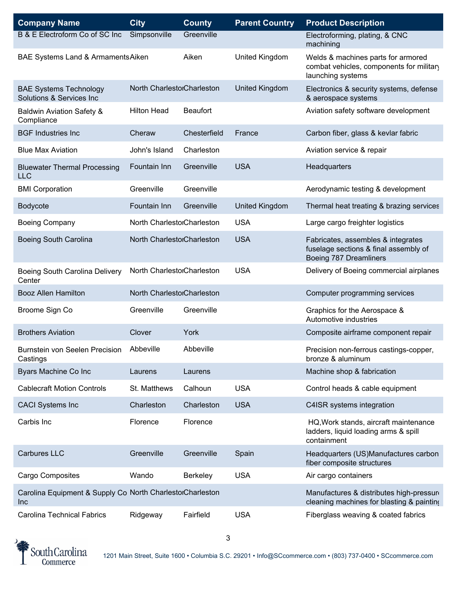| <b>Company Name</b>                                              | <b>City</b>                | <b>County</b>   | <b>Parent Country</b> | <b>Product Description</b>                                                                            |
|------------------------------------------------------------------|----------------------------|-----------------|-----------------------|-------------------------------------------------------------------------------------------------------|
| B & E Electroform Co of SC Inc                                   | Simpsonville               | Greenville      |                       | Electroforming, plating, & CNC<br>machining                                                           |
| BAE Systems Land & Armaments Aiken                               |                            | Aiken           | United Kingdom        | Welds & machines parts for armored<br>combat vehicles, components for military<br>launching systems   |
| <b>BAE Systems Technology</b><br>Solutions & Services Inc        | North CharlestorCharleston |                 | <b>United Kingdom</b> | Electronics & security systems, defense<br>& aerospace systems                                        |
| <b>Baldwin Aviation Safety &amp;</b><br>Compliance               | <b>Hilton Head</b>         | <b>Beaufort</b> |                       | Aviation safety software development                                                                  |
| <b>BGF Industries Inc</b>                                        | Cheraw                     | Chesterfield    | France                | Carbon fiber, glass & kevlar fabric                                                                   |
| <b>Blue Max Aviation</b>                                         | John's Island              | Charleston      |                       | Aviation service & repair                                                                             |
| <b>Bluewater Thermal Processing</b><br><b>LLC</b>                | Fountain Inn               | Greenville      | <b>USA</b>            | Headquarters                                                                                          |
| <b>BMI Corporation</b>                                           | Greenville                 | Greenville      |                       | Aerodynamic testing & development                                                                     |
| <b>Bodycote</b>                                                  | Fountain Inn               | Greenville      | <b>United Kingdom</b> | Thermal heat treating & brazing services                                                              |
| <b>Boeing Company</b>                                            | North CharlestorCharleston |                 | <b>USA</b>            | Large cargo freighter logistics                                                                       |
| <b>Boeing South Carolina</b>                                     | North CharlestorCharleston |                 | <b>USA</b>            | Fabricates, assembles & integrates<br>fuselage sections & final assembly of<br>Boeing 787 Dreamliners |
| Boeing South Carolina Delivery<br>Center                         | North CharlestorCharleston |                 | <b>USA</b>            | Delivery of Boeing commercial airplanes                                                               |
| <b>Booz Allen Hamilton</b>                                       | North CharlestorCharleston |                 |                       | Computer programming services                                                                         |
| Broome Sign Co                                                   | Greenville                 | Greenville      |                       | Graphics for the Aerospace &<br>Automotive industries                                                 |
| <b>Brothers Aviation</b>                                         | Clover                     | York            |                       | Composite airframe component repair                                                                   |
| Burnstein von Seelen Precision<br>Castings                       | Abbeville                  | Abbeville       |                       | Precision non-ferrous castings-copper,<br>bronze & aluminum                                           |
| Byars Machine Co Inc                                             | Laurens                    | Laurens         |                       | Machine shop & fabrication                                                                            |
| <b>Cablecraft Motion Controls</b>                                | St. Matthews               | Calhoun         | <b>USA</b>            | Control heads & cable equipment                                                                       |
| <b>CACI Systems Inc</b>                                          | Charleston                 | Charleston      | <b>USA</b>            | C4ISR systems integration                                                                             |
| Carbis Inc                                                       | Florence                   | Florence        |                       | HQ, Work stands, aircraft maintenance<br>ladders, liquid loading arms & spill<br>containment          |
| <b>Carbures LLC</b>                                              | Greenville                 | Greenville      | Spain                 | Headquarters (US)Manufactures carbon<br>fiber composite structures                                    |
| Cargo Composites                                                 | Wando                      | Berkeley        | <b>USA</b>            | Air cargo containers                                                                                  |
| Carolina Equipment & Supply Co North CharlestorCharleston<br>Inc |                            |                 |                       | Manufactures & distributes high-pressure<br>cleaning machines for blasting & painting                 |
| <b>Carolina Technical Fabrics</b>                                | Ridgeway                   | Fairfield       | <b>USA</b>            | Fiberglass weaving & coated fabrics                                                                   |

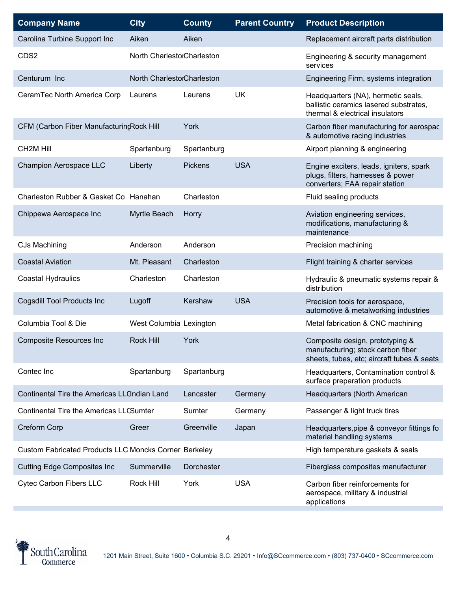| <b>Company Name</b>                                          | <b>City</b>                | <b>County</b>  | <b>Parent Country</b> | <b>Product Description</b>                                                                                         |
|--------------------------------------------------------------|----------------------------|----------------|-----------------------|--------------------------------------------------------------------------------------------------------------------|
| Carolina Turbine Support Inc                                 | Aiken                      | Aiken          |                       | Replacement aircraft parts distribution                                                                            |
| CDS2                                                         | North CharlestorCharleston |                |                       | Engineering & security management<br>services                                                                      |
| Centurum Inc                                                 | North CharlestorCharleston |                |                       | Engineering Firm, systems integration                                                                              |
| CeramTec North America Corp                                  | Laurens                    | Laurens        | <b>UK</b>             | Headquarters (NA), hermetic seals,<br>ballistic ceramics lasered substrates,<br>thermal & electrical insulators    |
| CFM (Carbon Fiber ManufacturincRock Hill                     |                            | York           |                       | Carbon fiber manufacturing for aerospac<br>& automotive racing industries                                          |
| <b>CH2M Hill</b>                                             | Spartanburg                | Spartanburg    |                       | Airport planning & engineering                                                                                     |
| Champion Aerospace LLC                                       | Liberty                    | <b>Pickens</b> | <b>USA</b>            | Engine exciters, leads, igniters, spark<br>plugs, filters, harnesses & power<br>converters; FAA repair station     |
| Charleston Rubber & Gasket Co Hanahan                        |                            | Charleston     |                       | Fluid sealing products                                                                                             |
| Chippewa Aerospace Inc                                       | Myrtle Beach               | Horry          |                       | Aviation engineering services,<br>modifications, manufacturing &<br>maintenance                                    |
| CJs Machining                                                | Anderson                   | Anderson       |                       | Precision machining                                                                                                |
| <b>Coastal Aviation</b>                                      | Mt. Pleasant               | Charleston     |                       | Flight training & charter services                                                                                 |
| <b>Coastal Hydraulics</b>                                    | Charleston                 | Charleston     |                       | Hydraulic & pneumatic systems repair &<br>distribution                                                             |
| Cogsdill Tool Products Inc                                   | Lugoff                     | Kershaw        | <b>USA</b>            | Precision tools for aerospace,<br>automotive & metalworking industries                                             |
| Columbia Tool & Die                                          | West Columbia Lexington    |                |                       | Metal fabrication & CNC machining                                                                                  |
| <b>Composite Resources Inc</b>                               | <b>Rock Hill</b>           | York           |                       | Composite design, prototyping &<br>manufacturing; stock carbon fiber<br>sheets, tubes, etc; aircraft tubes & seats |
| Contec Inc                                                   | Spartanburg                | Spartanburg    |                       | Headquarters, Contamination control &<br>surface preparation products                                              |
| Continental Tire the Americas LLCIndian Land                 |                            | Lancaster      | Germany               | Headquarters (North American                                                                                       |
| <b>Continental Tire the Americas LLCSumter</b>               |                            | Sumter         | Germany               | Passenger & light truck tires                                                                                      |
| Creform Corp                                                 | Greer                      | Greenville     | Japan                 | Headquarters, pipe & conveyor fittings fo<br>material handling systems                                             |
| <b>Custom Fabricated Products LLC Moncks Corner Berkeley</b> |                            |                |                       | High temperature gaskets & seals                                                                                   |
| <b>Cutting Edge Composites Inc</b>                           | Summerville                | Dorchester     |                       | Fiberglass composites manufacturer                                                                                 |
| <b>Cytec Carbon Fibers LLC</b>                               | Rock Hill                  | York           | <b>USA</b>            | Carbon fiber reinforcements for<br>aerospace, military & industrial<br>applications                                |

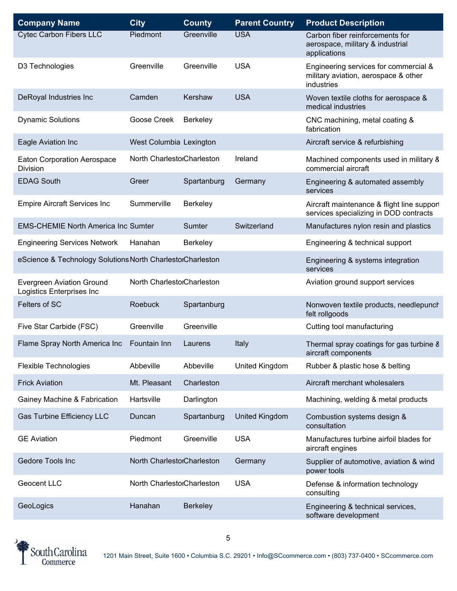| <b>Company Name</b>                                           | <b>City</b>                | <b>County</b>   | <b>Parent Country</b> | <b>Product Description</b>                                                                  |
|---------------------------------------------------------------|----------------------------|-----------------|-----------------------|---------------------------------------------------------------------------------------------|
| <b>Cytec Carbon Fibers LLC</b>                                | Piedmont                   | Greenville      | <b>USA</b>            | Carbon fiber reinforcements for<br>aerospace, military & industrial<br>applications         |
| D3 Technologies                                               | Greenville                 | Greenville      | <b>USA</b>            | Engineering services for commercial &<br>military aviation, aerospace & other<br>industries |
| DeRoyal Industries Inc                                        | Camden                     | Kershaw         | <b>USA</b>            | Woven textile cloths for aerospace &<br>medical industries                                  |
| <b>Dynamic Solutions</b>                                      | Goose Creek                | Berkeley        |                       | CNC machining, metal coating &<br>fabrication                                               |
| Eagle Aviation Inc                                            | West Columbia Lexington    |                 |                       | Aircraft service & refurbishing                                                             |
| <b>Eaton Corporation Aerospace</b><br>Division                | North CharlestorCharleston |                 | Ireland               | Machined components used in military 8<br>commercial aircraft                               |
| <b>EDAG South</b>                                             | Greer                      | Spartanburg     | Germany               | Engineering & automated assembly<br>services                                                |
| <b>Empire Aircraft Services Inc</b>                           | Summerville                | Berkeley        |                       | Aircraft maintenance & flight line support<br>services specializing in DOD contracts        |
| <b>EMS-CHEMIE North America Inc Sumter</b>                    |                            | Sumter          | Switzerland           | Manufactures nylon resin and plastics                                                       |
| <b>Engineering Services Network</b>                           | Hanahan                    | <b>Berkeley</b> |                       | Engineering & technical support                                                             |
| eScience & Technology Solutions North CharlestorCharleston    |                            |                 |                       | Engineering & systems integration<br>services                                               |
| <b>Evergreen Aviation Ground</b><br>Logistics Enterprises Inc | North CharlestorCharleston |                 |                       | Aviation ground support services                                                            |
| Felters of SC                                                 | <b>Roebuck</b>             | Spartanburg     |                       | Nonwoven textile products, needlepunch<br>felt rollgoods                                    |
| Five Star Carbide (FSC)                                       | Greenville                 | Greenville      |                       | Cutting tool manufacturing                                                                  |
| Flame Spray North America Inc                                 | Fountain Inn               | Laurens         | Italy                 | Thermal spray coatings for gas turbine 8<br>aircraft components                             |
| <b>Flexible Technologies</b>                                  | Abbeville                  | Abbeville       | United Kingdom        | Rubber & plastic hose & belting                                                             |
| <b>Frick Aviation</b>                                         | Mt. Pleasant               | Charleston      |                       | Aircraft merchant wholesalers                                                               |
| Gainey Machine & Fabrication                                  | Hartsville                 | Darlington      |                       | Machining, welding & metal products                                                         |
| <b>Gas Turbine Efficiency LLC</b>                             | Duncan                     | Spartanburg     | United Kingdom        | Combustion systems design &<br>consultation                                                 |
| <b>GE Aviation</b>                                            | Piedmont                   | Greenville      | <b>USA</b>            | Manufactures turbine airfoil blades for<br>aircraft engines                                 |
| Gedore Tools Inc                                              | North CharlestorCharleston |                 | Germany               | Supplier of automotive, aviation & wind<br>power tools                                      |
| Geocent LLC                                                   | North CharlestorCharleston |                 | <b>USA</b>            | Defense & information technology<br>consulting                                              |
| GeoLogics                                                     | Hanahan                    | <b>Berkeley</b> |                       | Engineering & technical services,<br>software development                                   |

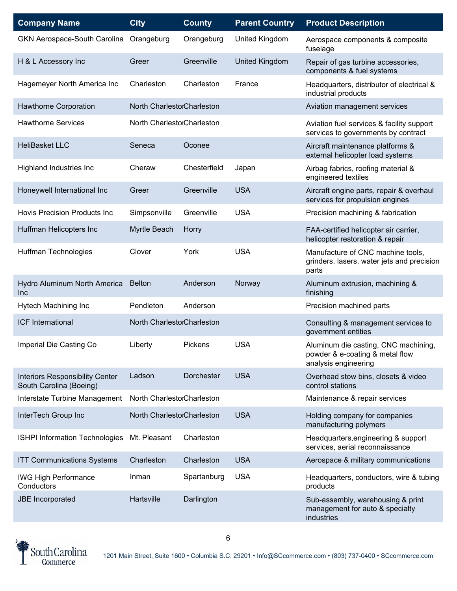| <b>Company Name</b>                                               | <b>City</b>                | <b>County</b> | <b>Parent Country</b> | <b>Product Description</b>                                                                      |
|-------------------------------------------------------------------|----------------------------|---------------|-----------------------|-------------------------------------------------------------------------------------------------|
| GKN Aerospace-South Carolina                                      | Orangeburg                 | Orangeburg    | United Kingdom        | Aerospace components & composite<br>fuselage                                                    |
| H & L Accessory Inc                                               | Greer                      | Greenville    | <b>United Kingdom</b> | Repair of gas turbine accessories,<br>components & fuel systems                                 |
| Hagemeyer North America Inc                                       | Charleston                 | Charleston    | France                | Headquarters, distributor of electrical &<br>industrial products                                |
| Hawthorne Corporation                                             | North CharlestorCharleston |               |                       | Aviation management services                                                                    |
| <b>Hawthorne Services</b>                                         | North CharlestorCharleston |               |                       | Aviation fuel services & facility support<br>services to governments by contract                |
| <b>HeliBasket LLC</b>                                             | Seneca                     | Oconee        |                       | Aircraft maintenance platforms &<br>external helicopter load systems                            |
| <b>Highland Industries Inc</b>                                    | Cheraw                     | Chesterfield  | Japan                 | Airbag fabrics, roofing material &<br>engineered textiles                                       |
| Honeywell International Inc                                       | Greer                      | Greenville    | <b>USA</b>            | Aircraft engine parts, repair & overhaul<br>services for propulsion engines                     |
| <b>Hovis Precision Products Inc</b>                               | Simpsonville               | Greenville    | <b>USA</b>            | Precision machining & fabrication                                                               |
| Huffman Helicopters Inc                                           | Myrtle Beach               | Horry         |                       | FAA-certified helicopter air carrier,<br>helicopter restoration & repair                        |
| Huffman Technologies                                              | Clover                     | York          | <b>USA</b>            | Manufacture of CNC machine tools,<br>grinders, lasers, water jets and precision<br>parts        |
| Hydro Aluminum North America<br>Inc                               | <b>Belton</b>              | Anderson      | Norway                | Aluminum extrusion, machining &<br>finishing                                                    |
| Hytech Machining Inc                                              | Pendleton                  | Anderson      |                       | Precision machined parts                                                                        |
| <b>ICF International</b>                                          | North CharlestorCharleston |               |                       | Consulting & management services to<br>government entities                                      |
| Imperial Die Casting Co                                           | Liberty                    | Pickens       | <b>USA</b>            | Aluminum die casting, CNC machining,<br>powder & e-coating & metal flow<br>analysis engineering |
| <b>Interiors Responsibility Center</b><br>South Carolina (Boeing) | Ladson                     | Dorchester    | <b>USA</b>            | Overhead stow bins, closets & video<br>control stations                                         |
| Interstate Turbine Management                                     | North CharlestorCharleston |               |                       | Maintenance & repair services                                                                   |
| InterTech Group Inc                                               | North CharlestorCharleston |               | <b>USA</b>            | Holding company for companies<br>manufacturing polymers                                         |
| <b>ISHPI Information Technologies</b>                             | Mt. Pleasant               | Charleston    |                       | Headquarters, engineering & support<br>services, aerial reconnaissance                          |
| <b>ITT Communications Systems</b>                                 | Charleston                 | Charleston    | <b>USA</b>            | Aerospace & military communications                                                             |
| <b>IWG High Performance</b><br>Conductors                         | Inman                      | Spartanburg   | <b>USA</b>            | Headquarters, conductors, wire & tubing<br>products                                             |
| <b>JBE</b> Incorporated                                           | Hartsville                 | Darlington    |                       | Sub-assembly, warehousing & print<br>management for auto & specialty<br>industries              |

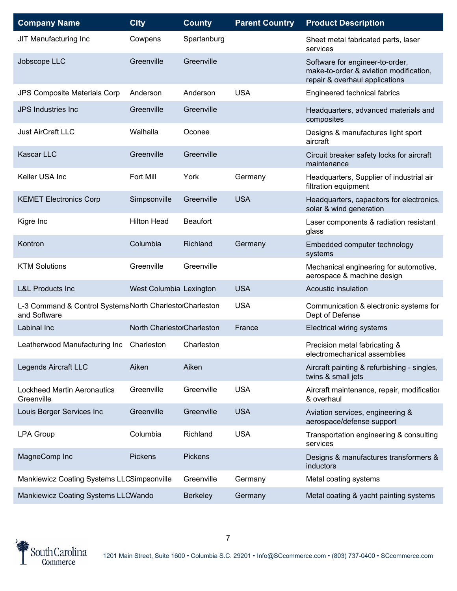| <b>Company Name</b>                                                      | <b>City</b>                | <b>County</b>   | <b>Parent Country</b> | <b>Product Description</b>                                                                                  |
|--------------------------------------------------------------------------|----------------------------|-----------------|-----------------------|-------------------------------------------------------------------------------------------------------------|
| JIT Manufacturing Inc                                                    | Cowpens                    | Spartanburg     |                       | Sheet metal fabricated parts, laser<br>services                                                             |
| Jobscope LLC                                                             | Greenville                 | Greenville      |                       | Software for engineer-to-order,<br>make-to-order & aviation modification,<br>repair & overhaul applications |
| JPS Composite Materials Corp                                             | Anderson                   | Anderson        | <b>USA</b>            | Engineered technical fabrics                                                                                |
| <b>JPS Industries Inc</b>                                                | Greenville                 | Greenville      |                       | Headquarters, advanced materials and<br>composites                                                          |
| <b>Just AirCraft LLC</b>                                                 | Walhalla                   | Oconee          |                       | Designs & manufactures light sport<br>aircraft                                                              |
| Kascar LLC                                                               | Greenville                 | Greenville      |                       | Circuit breaker safety locks for aircraft<br>maintenance                                                    |
| Keller USA Inc                                                           | Fort Mill                  | York            | Germany               | Headquarters, Supplier of industrial air<br>filtration equipment                                            |
| <b>KEMET Electronics Corp</b>                                            | Simpsonville               | Greenville      | <b>USA</b>            | Headquarters, capacitors for electronics,<br>solar & wind generation                                        |
| Kigre Inc                                                                | <b>Hilton Head</b>         | <b>Beaufort</b> |                       | Laser components & radiation resistant<br>glass                                                             |
| Kontron                                                                  | Columbia                   | Richland        | Germany               | Embedded computer technology<br>systems                                                                     |
| <b>KTM Solutions</b>                                                     | Greenville                 | Greenville      |                       | Mechanical engineering for automotive,<br>aerospace & machine design                                        |
| <b>L&amp;L Products Inc</b>                                              | West Columbia Lexington    |                 | <b>USA</b>            | Acoustic insulation                                                                                         |
| L-3 Command & Control Systems North CharlestorCharleston<br>and Software |                            |                 | <b>USA</b>            | Communication & electronic systems for<br>Dept of Defense                                                   |
| Labinal Inc                                                              | North CharlestorCharleston |                 | France                | Electrical wiring systems                                                                                   |
| Leatherwood Manufacturing Inc                                            | Charleston                 | Charleston      |                       | Precision metal fabricating &<br>electromechanical assemblies                                               |
| Legends Aircraft LLC                                                     | Aiken                      | Aiken           |                       | Aircraft painting & refurbishing - singles,<br>twins & small jets                                           |
| <b>Lockheed Martin Aeronautics</b><br>Greenville                         | Greenville                 | Greenville      | <b>USA</b>            | Aircraft maintenance, repair, modification<br>& overhaul                                                    |
| Louis Berger Services Inc                                                | Greenville                 | Greenville      | <b>USA</b>            | Aviation services, engineering &<br>aerospace/defense support                                               |
| <b>LPA Group</b>                                                         | Columbia                   | Richland        | <b>USA</b>            | Transportation engineering & consulting<br>services                                                         |
| MagneComp Inc                                                            | <b>Pickens</b>             | Pickens         |                       | Designs & manufactures transformers &<br>inductors                                                          |
| Mankiewicz Coating Systems LLCSimpsonville                               |                            | Greenville      | Germany               | Metal coating systems                                                                                       |
| Mankiewicz Coating Systems LLCWando                                      |                            | <b>Berkeley</b> | Germany               | Metal coating & yacht painting systems                                                                      |

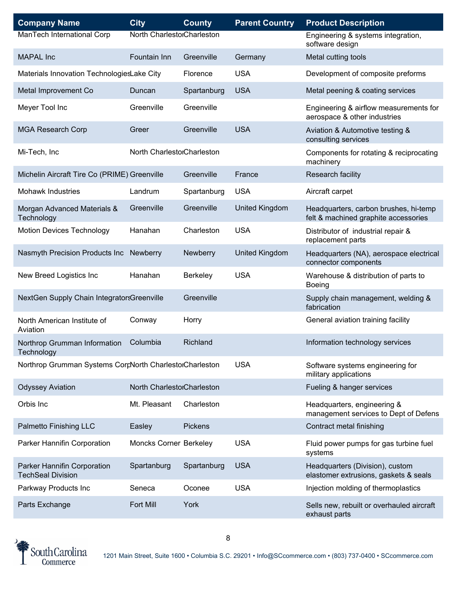| <b>Company Name</b>                                     | <b>City</b>                | <b>County</b>   | <b>Parent Country</b> | <b>Product Description</b>                                                    |
|---------------------------------------------------------|----------------------------|-----------------|-----------------------|-------------------------------------------------------------------------------|
| ManTech International Corp                              | North CharlestorCharleston |                 |                       | Engineering & systems integration,<br>software design                         |
| <b>MAPAL</b> Inc                                        | Fountain Inn               | Greenville      | Germany               | Metal cutting tools                                                           |
| Materials Innovation TechnologiesLake City              |                            | Florence        | <b>USA</b>            | Development of composite preforms                                             |
| Metal Improvement Co                                    | Duncan                     | Spartanburg     | <b>USA</b>            | Metal peening & coating services                                              |
| Meyer Tool Inc                                          | Greenville                 | Greenville      |                       | Engineering & airflow measurements for<br>aerospace & other industries        |
| <b>MGA Research Corp</b>                                | Greer                      | Greenville      | <b>USA</b>            | Aviation & Automotive testing &<br>consulting services                        |
| Mi-Tech, Inc                                            | North CharlestorCharleston |                 |                       | Components for rotating & reciprocating<br>machinery                          |
| Michelin Aircraft Tire Co (PRIME) Greenville            |                            | Greenville      | France                | Research facility                                                             |
| <b>Mohawk Industries</b>                                | Landrum                    | Spartanburg     | <b>USA</b>            | Aircraft carpet                                                               |
| Morgan Advanced Materials &<br>Technology               | Greenville                 | Greenville      | <b>United Kingdom</b> | Headquarters, carbon brushes, hi-temp<br>felt & machined graphite accessories |
| <b>Motion Devices Technology</b>                        | Hanahan                    | Charleston      | <b>USA</b>            | Distributor of industrial repair &<br>replacement parts                       |
| Nasmyth Precision Products Inc                          | <b>Newberry</b>            | Newberry        | <b>United Kingdom</b> | Headquarters (NA), aerospace electrical<br>connector components               |
| New Breed Logistics Inc                                 | Hanahan                    | <b>Berkeley</b> | <b>USA</b>            | Warehouse & distribution of parts to<br><b>Boeing</b>                         |
| NextGen Supply Chain IntegratorsGreenville              |                            | Greenville      |                       | Supply chain management, welding &<br>fabrication                             |
| North American Institute of<br>Aviation                 | Conway                     | Horry           |                       | General aviation training facility                                            |
| Northrop Grumman Information<br>Technology              | Columbia                   | Richland        |                       | Information technology services                                               |
| Northrop Grumman Systems CorrNorth CharlestorCharleston |                            |                 | <b>USA</b>            | Software systems engineering for<br>military applications                     |
| <b>Odyssey Aviation</b>                                 | North CharlestorCharleston |                 |                       | Fueling & hanger services                                                     |
| Orbis Inc                                               | Mt. Pleasant               | Charleston      |                       | Headquarters, engineering &<br>management services to Dept of Defens          |
| Palmetto Finishing LLC                                  | Easley                     | <b>Pickens</b>  |                       | Contract metal finishing                                                      |
| Parker Hannifin Corporation                             | Moncks Corner Berkeley     |                 | <b>USA</b>            | Fluid power pumps for gas turbine fuel<br>systems                             |
| Parker Hannifin Corporation<br><b>TechSeal Division</b> | Spartanburg                | Spartanburg     | <b>USA</b>            | Headquarters (Division), custom<br>elastomer extrusions, gaskets & seals      |
| Parkway Products Inc                                    | Seneca                     | Oconee          | <b>USA</b>            | Injection molding of thermoplastics                                           |
| Parts Exchange                                          | <b>Fort Mill</b>           | York            |                       | Sells new, rebuilt or overhauled aircraft<br>exhaust parts                    |

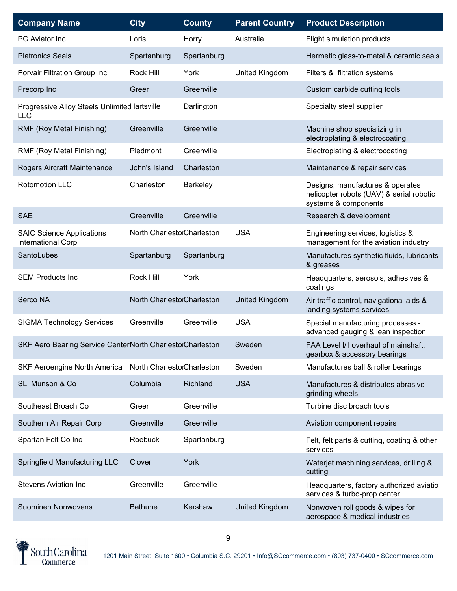| <b>Company Name</b>                                        | <b>City</b>                | <b>County</b> | <b>Parent Country</b> | <b>Product Description</b>                                                                           |
|------------------------------------------------------------|----------------------------|---------------|-----------------------|------------------------------------------------------------------------------------------------------|
| <b>PC</b> Aviator Inc                                      | Loris                      | Horry         | Australia             | Flight simulation products                                                                           |
| <b>Platronics Seals</b>                                    | Spartanburg                | Spartanburg   |                       | Hermetic glass-to-metal & ceramic seals                                                              |
| Porvair Filtration Group Inc                               | Rock Hill                  | York          | United Kingdom        | Filters & filtration systems                                                                         |
| Precorp Inc                                                | Greer                      | Greenville    |                       | Custom carbide cutting tools                                                                         |
| Progressive Alloy Steels UnlimitedHartsville<br><b>LLC</b> |                            | Darlington    |                       | Specialty steel supplier                                                                             |
| RMF (Roy Metal Finishing)                                  | Greenville                 | Greenville    |                       | Machine shop specializing in<br>electroplating & electrocoating                                      |
| RMF (Roy Metal Finishing)                                  | Piedmont                   | Greenville    |                       | Electroplating & electrocoating                                                                      |
| Rogers Aircraft Maintenance                                | John's Island              | Charleston    |                       | Maintenance & repair services                                                                        |
| <b>Rotomotion LLC</b>                                      | Charleston                 | Berkeley      |                       | Designs, manufactures & operates<br>helicopter robots (UAV) & serial robotic<br>systems & components |
| <b>SAE</b>                                                 | Greenville                 | Greenville    |                       | Research & development                                                                               |
| <b>SAIC Science Applications</b><br>International Corp     | North CharlestorCharleston |               | <b>USA</b>            | Engineering services, logistics &<br>management for the aviation industry                            |
| SantoLubes                                                 | Spartanburg                | Spartanburg   |                       | Manufactures synthetic fluids, lubricants<br>& greases                                               |
| <b>SEM Products Inc</b>                                    | Rock Hill                  | York          |                       | Headquarters, aerosols, adhesives &<br>coatings                                                      |
| Serco NA                                                   | North CharlestorCharleston |               | United Kingdom        | Air traffic control, navigational aids &<br>landing systems services                                 |
| <b>SIGMA Technology Services</b>                           | Greenville                 | Greenville    | <b>USA</b>            | Special manufacturing processes -<br>advanced gauging & lean inspection                              |
| SKF Aero Bearing Service CenterNorth CharlestorCharleston  |                            |               | Sweden                | FAA Level I/II overhaul of mainshaft,<br>gearbox & accessory bearings                                |
| SKF Aeroengine North America                               | North CharlestorCharleston |               | Sweden                | Manufactures ball & roller bearings                                                                  |
| SL Munson & Co                                             | Columbia                   | Richland      | <b>USA</b>            | Manufactures & distributes abrasive<br>grinding wheels                                               |
| Southeast Broach Co                                        | Greer                      | Greenville    |                       | Turbine disc broach tools                                                                            |
| Southern Air Repair Corp                                   | Greenville                 | Greenville    |                       | Aviation component repairs                                                                           |
| Spartan Felt Co Inc                                        | Roebuck                    | Spartanburg   |                       | Felt, felt parts & cutting, coating & other<br>services                                              |
| Springfield Manufacturing LLC                              | Clover                     | York          |                       | Waterjet machining services, drilling &<br>cutting                                                   |
| <b>Stevens Aviation Inc</b>                                | Greenville                 | Greenville    |                       | Headquarters, factory authorized aviatio<br>services & turbo-prop center                             |
| Suominen Nonwovens                                         | <b>Bethune</b>             | Kershaw       | United Kingdom        | Nonwoven roll goods & wipes for<br>aerospace & medical industries                                    |

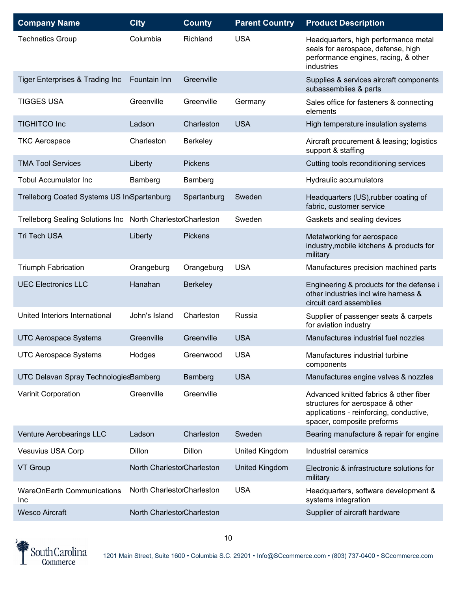| <b>Company Name</b>                         | <b>City</b>                | <b>County</b>   | <b>Parent Country</b> | <b>Product Description</b>                                                                                                                          |
|---------------------------------------------|----------------------------|-----------------|-----------------------|-----------------------------------------------------------------------------------------------------------------------------------------------------|
| <b>Technetics Group</b>                     | Columbia                   | Richland        | <b>USA</b>            | Headquarters, high performance metal<br>seals for aerospace, defense, high<br>performance engines, racing, & other<br>industries                    |
| <b>Tiger Enterprises &amp; Trading Inc</b>  | Fountain Inn               | Greenville      |                       | Supplies & services aircraft components<br>subassemblies & parts                                                                                    |
| <b>TIGGES USA</b>                           | Greenville                 | Greenville      | Germany               | Sales office for fasteners & connecting<br>elements                                                                                                 |
| <b>TIGHITCO Inc</b>                         | Ladson                     | Charleston      | <b>USA</b>            | High temperature insulation systems                                                                                                                 |
| <b>TKC Aerospace</b>                        | Charleston                 | <b>Berkeley</b> |                       | Aircraft procurement & leasing; logistics<br>support & staffing                                                                                     |
| <b>TMA Tool Services</b>                    | Liberty                    | <b>Pickens</b>  |                       | Cutting tools reconditioning services                                                                                                               |
| <b>Tobul Accumulator Inc</b>                | Bamberg                    | Bamberg         |                       | Hydraulic accumulators                                                                                                                              |
| Trelleborg Coated Systems US In Spartanburg |                            | Spartanburg     | Sweden                | Headquarters (US), rubber coating of<br>fabric, customer service                                                                                    |
| <b>Trelleborg Sealing Solutions Inc</b>     | North CharlestorCharleston |                 | Sweden                | Gaskets and sealing devices                                                                                                                         |
| <b>Tri Tech USA</b>                         | Liberty                    | <b>Pickens</b>  |                       | Metalworking for aerospace<br>industry, mobile kitchens & products for<br>military                                                                  |
| <b>Triumph Fabrication</b>                  | Orangeburg                 | Orangeburg      | <b>USA</b>            | Manufactures precision machined parts                                                                                                               |
| <b>UEC Electronics LLC</b>                  | Hanahan                    | <b>Berkeley</b> |                       | Engineering & products for the defense $\lambda$<br>other industries incl wire harness &<br>circuit card assemblies                                 |
| United Interiors International              | John's Island              | Charleston      | Russia                | Supplier of passenger seats & carpets<br>for aviation industry                                                                                      |
| <b>UTC Aerospace Systems</b>                | Greenville                 | Greenville      | <b>USA</b>            | Manufactures industrial fuel nozzles                                                                                                                |
| <b>UTC Aerospace Systems</b>                | Hodges                     | Greenwood       | <b>USA</b>            | Manufactures industrial turbine<br>components                                                                                                       |
| UTC Delavan Spray TechnologiesBamberg       |                            | Bamberg         | <b>USA</b>            | Manufactures engine valves & nozzles                                                                                                                |
| Varinit Corporation                         | Greenville                 | Greenville      |                       | Advanced knitted fabrics & other fiber<br>structures for aerospace & other<br>applications - reinforcing, conductive,<br>spacer, composite preforms |
| Venture Aerobearings LLC                    | Ladson                     | Charleston      | Sweden                | Bearing manufacture & repair for engine                                                                                                             |
| <b>Vesuvius USA Corp</b>                    | Dillon                     | Dillon          | United Kingdom        | Industrial ceramics                                                                                                                                 |
| VT Group                                    | North CharlestorCharleston |                 | United Kingdom        | Electronic & infrastructure solutions for<br>military                                                                                               |
| <b>WareOnEarth Communications</b><br>Inc    | North CharlestorCharleston |                 | <b>USA</b>            | Headquarters, software development &<br>systems integration                                                                                         |
| <b>Wesco Aircraft</b>                       | North CharlestorCharleston |                 |                       | Supplier of aircraft hardware                                                                                                                       |